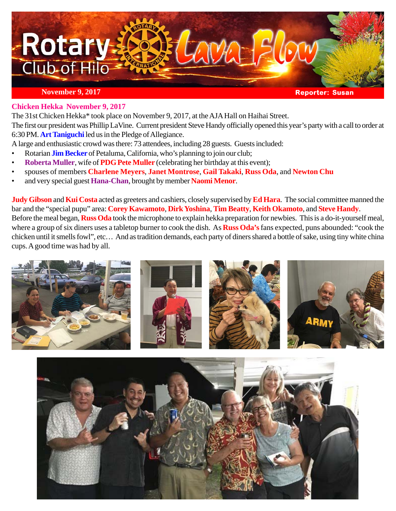

#### **Chicken Hekka November 9, 2017**

The 31st Chicken Hekka\* took place on November 9, 2017, at the AJA Hall on Haihai Street.

The first our president was Phillip LaVine. Current president Steve Handy officially opened this year's party with a call to order at 6:30 PM. **Art Taniguchi** led us in the Pledge of Allegiance.

A large and enthusiastic crowd was there: 73 attendees, including 28 guests. Guests included:

- Rotarian **Jim Becker** of Petaluma, California, who's planning to join our club;
- **Roberta Muller**, wife of **PDG Pete Muller** (celebrating her birthday at this event);
- spouses of members **Charlene Meyers**, **Janet Montrose**, **Gail Takaki**, **Russ Oda**, and **Newton Chu**
- and very special guest **Hana-Chan**, brought by member **Naomi Menor**.

**Judy Gibson** and **Kui Costa** acted as greeters and cashiers, closely supervised by **Ed Hara**. The social committee manned the bar and the "special pupu" area: **Corey Kawamoto**, **Dirk Yoshina**, **Tim Beatty**, **Keith Okamoto**, and **Steve Handy**. Before the meal began, **Russ Oda** took the microphone to explain hekka preparation for newbies. This is a do-it-yourself meal, where a group of six diners uses a tabletop burner to cook the dish. As **Russ Oda's** fans expected, puns abounded: "cook the chicken until it smells fowl", etc… And as tradition demands, each party of diners shared a bottle of sake, using tiny white china cups. A good time was had by all.



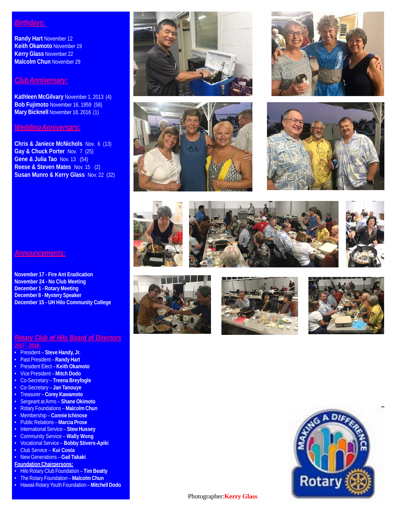### *Birthdays:*

**Randy Hart** November 12 **Keith Okamoto** November 19 **Kerry Glass** November 22 **Malcolm Chun** November 29

#### *Club Anniversary:*

**Kathleen McGilvary** November 1, 2013 (4) **Bob Fujimoto** November 16, 1959 (58) **Mary Bicknell** November 18, 2016 (1)

#### *Wedding Anniversary:*

**Chris & Janiece McNichols** Nov. 6 (13) **Gay & Chuck Porter** Nov. 7 (25) **Gene & Julia Tao** Nov. 13 (54) **Reese & Steven Mates** Nov. 15 (2) **Susan Munro & Kerry Glass** Nov. 22 (32)





















## *Rotary Club of Hilo Board of Directors*

**December 15 - UH Hilo Community College**

- **2017 2018:**
- President **Steve Handy, Jr.**

*Announcements:*

**November 17 - Fire Ant Eradication November 24 - No Club Meeting December 1 - Rotary Meeting December 8 - Mystery Speaker**

- Past President **Randy Hart**
- President Elect **Keith Okamoto**
- Vice President **Mitch Dodo**
- Co-Secretary **Treena Breyfogle**
- Co-Secretary **Jan Tanouye**
- Treasurer **Corey Kawamoto**
- Sergeant at Arms **Shane Okimoto**
- Rotary Foundations **Malcolm Chun**
- Membership **Connie Ichinose**
- Public Relations **Marcia Prose**
- International Service **Stew Hussey**
- Community Service **Wally Wong**
- Vocational Service **Bobby Stivers-Apiki**
- Club Service **Kui Costa**
- New Generations **Gail Takaki**
- **Foundation Chairpersons:**
- Hilo Rotary Club Foundation **Tim Beatty**
- The Rotary Foundation **Malcolm Chun**
- Hawaii Rotary Youth Foundation **Mitchell Dodo**